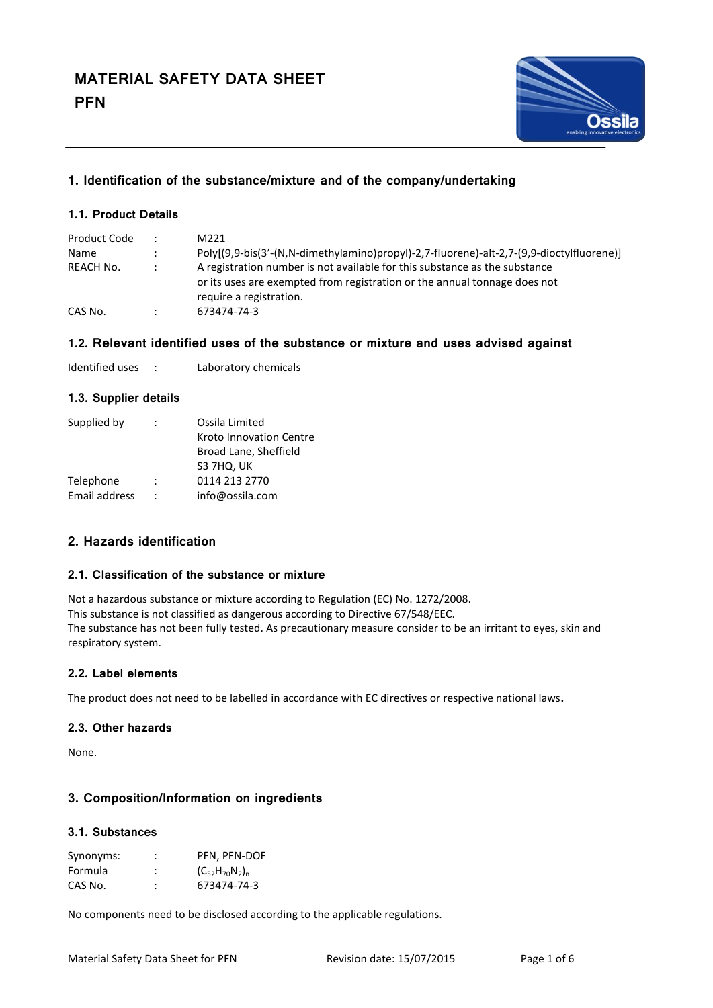

# **1. Identification of the substance/mixture and of the company/undertaking**

## **1.1. Product Details**

| Product Code | $\mathbb{R}^{\mathbb{Z}}$ | M221                                                                                                                                                                               |
|--------------|---------------------------|------------------------------------------------------------------------------------------------------------------------------------------------------------------------------------|
| <b>Name</b>  | $\ddot{\phantom{0}}$      | Poly[(9,9-bis(3'-(N,N-dimethylamino)propyl)-2,7-fluorene)-alt-2,7-(9,9-dioctylfluorene)]                                                                                           |
| REACH No.    |                           | A registration number is not available for this substance as the substance<br>or its uses are exempted from registration or the annual tonnage does not<br>require a registration. |
| CAS No.      | $\ddot{\phantom{0}}$      | 673474-74-3                                                                                                                                                                        |

## **1.2. Relevant identified uses of the substance or mixture and uses advised against**

| Identified uses |  | Laboratory chemicals |
|-----------------|--|----------------------|
|-----------------|--|----------------------|

## **1.3. Supplier details**

| Supplied by   | $\ddot{\cdot}$       | Ossila Limited                 |
|---------------|----------------------|--------------------------------|
|               |                      | <b>Kroto Innovation Centre</b> |
|               |                      | Broad Lane, Sheffield          |
|               |                      | S3 7HQ, UK                     |
| Telephone     | $\ddot{\cdot}$       | 0114 213 2770                  |
| Email address | $\ddot{\phantom{a}}$ | info@ossila.com                |
|               |                      |                                |

# **2. Hazards identification**

#### **2.1. Classification of the substance or mixture**

Not a hazardous substance or mixture according to Regulation (EC) No. 1272/2008. This substance is not classified as dangerous according to Directive 67/548/EEC. The substance has not been fully tested. As precautionary measure consider to be an irritant to eyes, skin and respiratory system.

## **2.2. Label elements**

The product does not need to be labelled in accordance with EC directives or respective national laws**.**

### **2.3. Other hazards**

None.

# **3. Composition/Information on ingredients**

# **3.1. Substances**

| Synonyms: | ٠ | PFN, PFN-DOF          |
|-----------|---|-----------------------|
| Formula   |   | $(C_{52}H_{70}N_2)_n$ |
| CAS No.   |   | 673474-74-3           |

No components need to be disclosed according to the applicable regulations.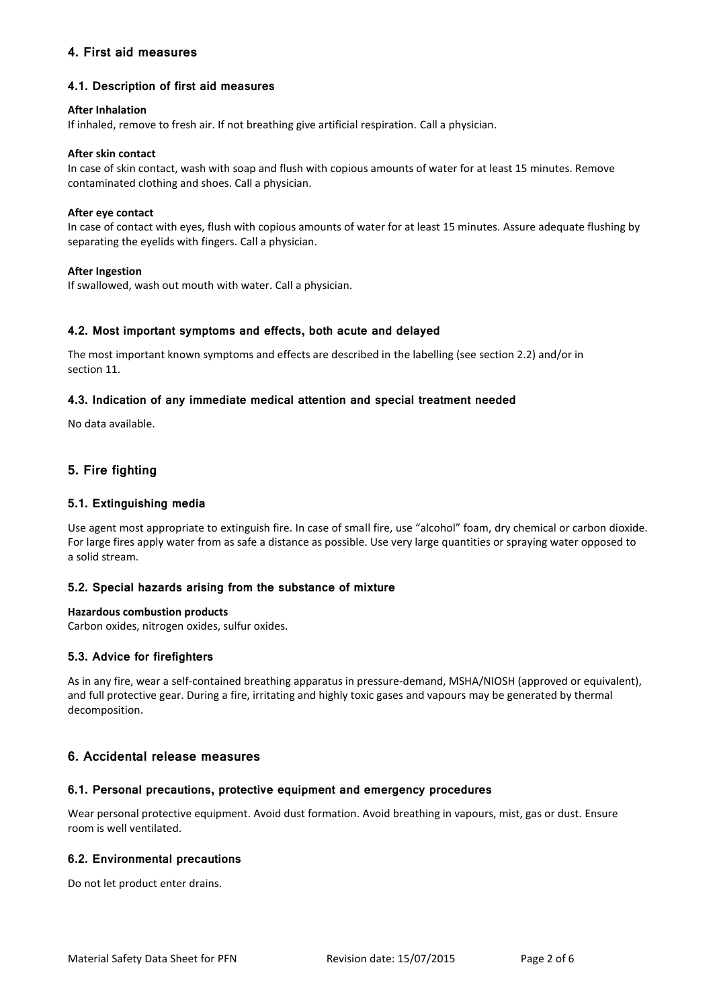# **4. First aid measures**

## **4.1. Description of first aid measures**

#### **After Inhalation**

If inhaled, remove to fresh air. If not breathing give artificial respiration. Call a physician.

#### **After skin contact**

In case of skin contact, wash with soap and flush with copious amounts of water for at least 15 minutes. Remove contaminated clothing and shoes. Call a physician.

#### **After eye contact**

In case of contact with eyes, flush with copious amounts of water for at least 15 minutes. Assure adequate flushing by separating the eyelids with fingers. Call a physician.

#### **After Ingestion**

If swallowed, wash out mouth with water. Call a physician.

#### **4.2. Most important symptoms and effects, both acute and delayed**

The most important known symptoms and effects are described in the labelling (see section 2.2) and/or in section 11.

#### **4.3. Indication of any immediate medical attention and special treatment needed**

No data available.

# **5. Fire fighting**

### **5.1. Extinguishing media**

Use agent most appropriate to extinguish fire. In case of small fire, use "alcohol" foam, dry chemical or carbon dioxide. For large fires apply water from as safe a distance as possible. Use very large quantities or spraying water opposed to a solid stream.

#### **5.2. Special hazards arising from the substance of mixture**

#### **Hazardous combustion products**

Carbon oxides, nitrogen oxides, sulfur oxides.

#### **5.3. Advice for firefighters**

As in any fire, wear a self-contained breathing apparatus in pressure-demand, MSHA/NIOSH (approved or equivalent), and full protective gear. During a fire, irritating and highly toxic gases and vapours may be generated by thermal decomposition.

# **6. Accidental release measures**

#### **6.1. Personal precautions, protective equipment and emergency procedures**

Wear personal protective equipment. Avoid dust formation. Avoid breathing in vapours, mist, gas or dust. Ensure room is well ventilated.

#### **6.2. Environmental precautions**

Do not let product enter drains.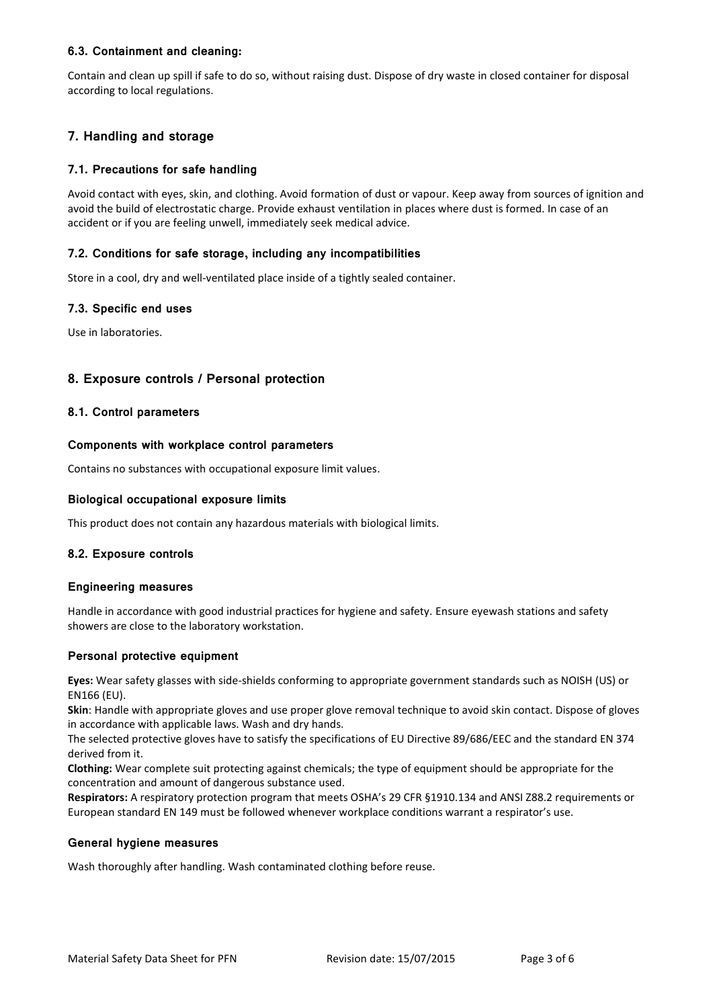# **6.3. Containment and cleaning:**

Contain and clean up spill if safe to do so, without raising dust. Dispose of dry waste in closed container for disposal according to local regulations.

# **7. Handling and storage**

# **7.1. Precautions for safe handling**

Avoid contact with eyes, skin, and clothing. Avoid formation of dust or vapour. Keep away from sources of ignition and avoid the build of electrostatic charge. Provide exhaust ventilation in places where dust is formed. In case of an accident or if you are feeling unwell, immediately seek medical advice.

#### **7.2. Conditions for safe storage, including any incompatibilities**

Store in a cool, dry and well-ventilated place inside of a tightly sealed container.

#### **7.3. Specific end uses**

Use in laboratories.

## **8. Exposure controls / Personal protection**

#### **8.1. Control parameters**

#### **Components with workplace control parameters**

Contains no substances with occupational exposure limit values.

#### **Biological occupational exposure limits**

This product does not contain any hazardous materials with biological limits.

#### **8.2. Exposure controls**

#### **Engineering measures**

Handle in accordance with good industrial practices for hygiene and safety. Ensure eyewash stations and safety showers are close to the laboratory workstation.

#### **Personal protective equipment**

**Eyes:** Wear safety glasses with side-shields conforming to appropriate government standards such as NOISH (US) or EN166 (EU).

**Skin**: Handle with appropriate gloves and use proper glove removal technique to avoid skin contact. Dispose of gloves in accordance with applicable laws. Wash and dry hands.

The selected protective gloves have to satisfy the specifications of EU Directive 89/686/EEC and the standard EN 374 derived from it.

**Clothing:** Wear complete suit protecting against chemicals; the type of equipment should be appropriate for the concentration and amount of dangerous substance used.

**Respirators:** A respiratory protection program that meets OSHA's 29 CFR §1910.134 and ANSI Z88.2 requirements or European standard EN 149 must be followed whenever workplace conditions warrant a respirator's use.

#### **General hygiene measures**

Wash thoroughly after handling. Wash contaminated clothing before reuse.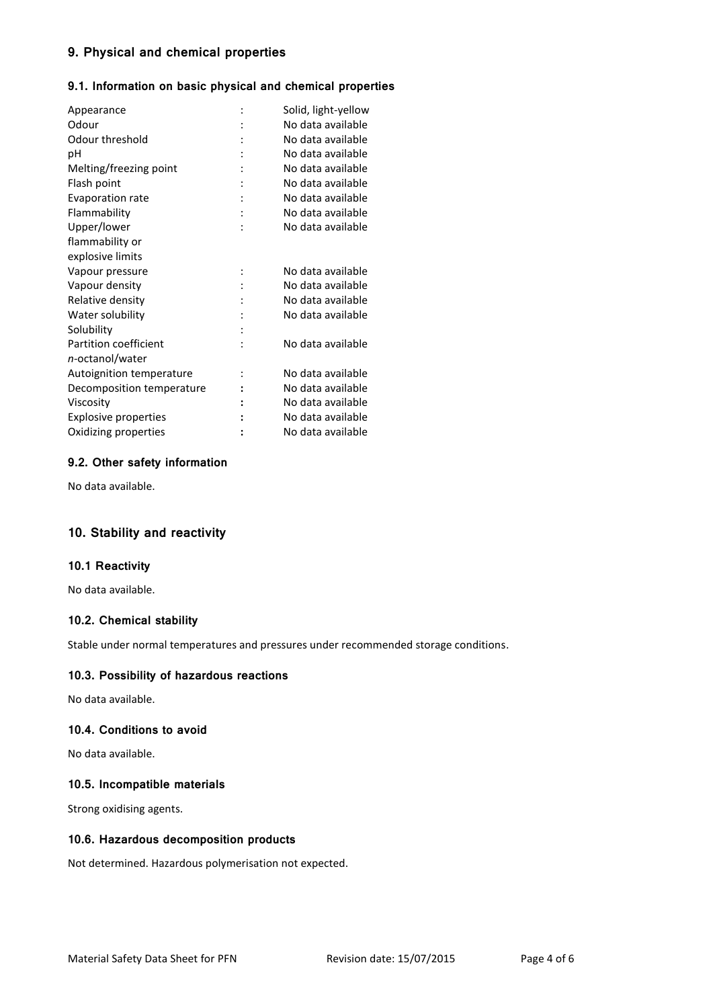# **9. Physical and chemical properties**

## **9.1. Information on basic physical and chemical properties**

| Solid, light-yellow<br>No data available |
|------------------------------------------|
| No data available                        |
| No data available                        |
| No data available                        |
| No data available                        |
| No data available                        |
| No data available                        |
| No data available                        |
|                                          |
|                                          |
| No data available                        |
| No data available                        |
| No data available                        |
| No data available                        |
|                                          |
| No data available                        |
|                                          |
| No data available                        |
| No data available                        |
| No data available                        |
| No data available                        |
| No data available                        |
|                                          |

## **9.2. Other safety information**

No data available.

# **10. Stability and reactivity**

## **10.1 Reactivity**

No data available.

## **10.2. Chemical stability**

Stable under normal temperatures and pressures under recommended storage conditions.

#### **10.3. Possibility of hazardous reactions**

No data available.

#### **10.4. Conditions to avoid**

No data available.

### **10.5. Incompatible materials**

Strong oxidising agents.

#### **10.6. Hazardous decomposition products**

Not determined. Hazardous polymerisation not expected.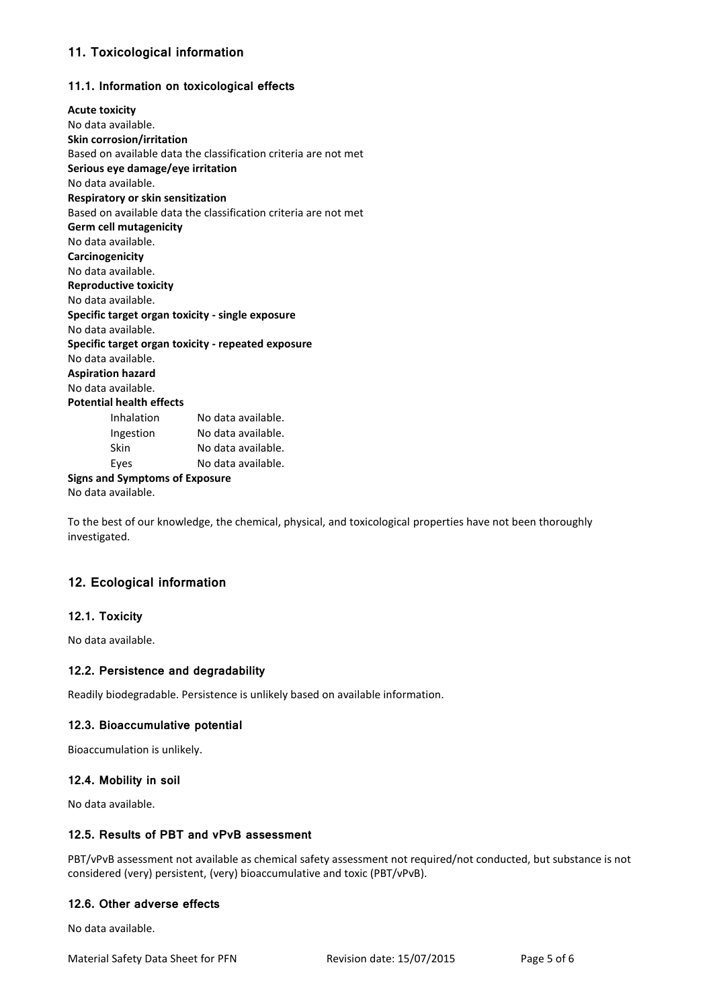# **11. Toxicological information**

# **11.1. Information on toxicological effects**

| <b>Acute toxicity</b>                              |                                                                 |  |  |  |  |
|----------------------------------------------------|-----------------------------------------------------------------|--|--|--|--|
| No data available.                                 |                                                                 |  |  |  |  |
| <b>Skin corrosion/irritation</b>                   |                                                                 |  |  |  |  |
|                                                    | Based on available data the classification criteria are not met |  |  |  |  |
| Serious eye damage/eye irritation                  |                                                                 |  |  |  |  |
| No data available.                                 |                                                                 |  |  |  |  |
| Respiratory or skin sensitization                  |                                                                 |  |  |  |  |
|                                                    | Based on available data the classification criteria are not met |  |  |  |  |
| <b>Germ cell mutagenicity</b>                      |                                                                 |  |  |  |  |
| No data available.                                 |                                                                 |  |  |  |  |
| Carcinogenicity                                    |                                                                 |  |  |  |  |
| No data available.                                 |                                                                 |  |  |  |  |
| <b>Reproductive toxicity</b>                       |                                                                 |  |  |  |  |
| No data available.                                 |                                                                 |  |  |  |  |
| Specific target organ toxicity - single exposure   |                                                                 |  |  |  |  |
| No data available.                                 |                                                                 |  |  |  |  |
| Specific target organ toxicity - repeated exposure |                                                                 |  |  |  |  |
| No data available.                                 |                                                                 |  |  |  |  |
| <b>Aspiration hazard</b>                           |                                                                 |  |  |  |  |
| No data available.                                 |                                                                 |  |  |  |  |
| <b>Potential health effects</b>                    |                                                                 |  |  |  |  |
| Inhalation                                         | No data available.                                              |  |  |  |  |
| Ingestion                                          | No data available.                                              |  |  |  |  |
| Skin                                               | No data available.                                              |  |  |  |  |
| Eyes                                               | No data available.                                              |  |  |  |  |
| <b>Signs and Symptoms of Exposure</b>              |                                                                 |  |  |  |  |
| No data available.                                 |                                                                 |  |  |  |  |

To the best of our knowledge, the chemical, physical, and toxicological properties have not been thoroughly investigated.

# **12. Ecological information**

# **12.1. Toxicity**

No data available.

## **12.2. Persistence and degradability**

Readily biodegradable. Persistence is unlikely based on available information.

## **12.3. Bioaccumulative potential**

Bioaccumulation is unlikely.

# **12.4. Mobility in soil**

No data available.

# **12.5. Results of PBT and vPvB assessment**

PBT/vPvB assessment not available as chemical safety assessment not required/not conducted, but substance is not considered (very) persistent, (very) bioaccumulative and toxic (PBT/vPvB).

#### **12.6. Other adverse effects**

No data available.

Material Safety Data Sheet for PFN Revision date: 15/07/2015 Page 5 of 6